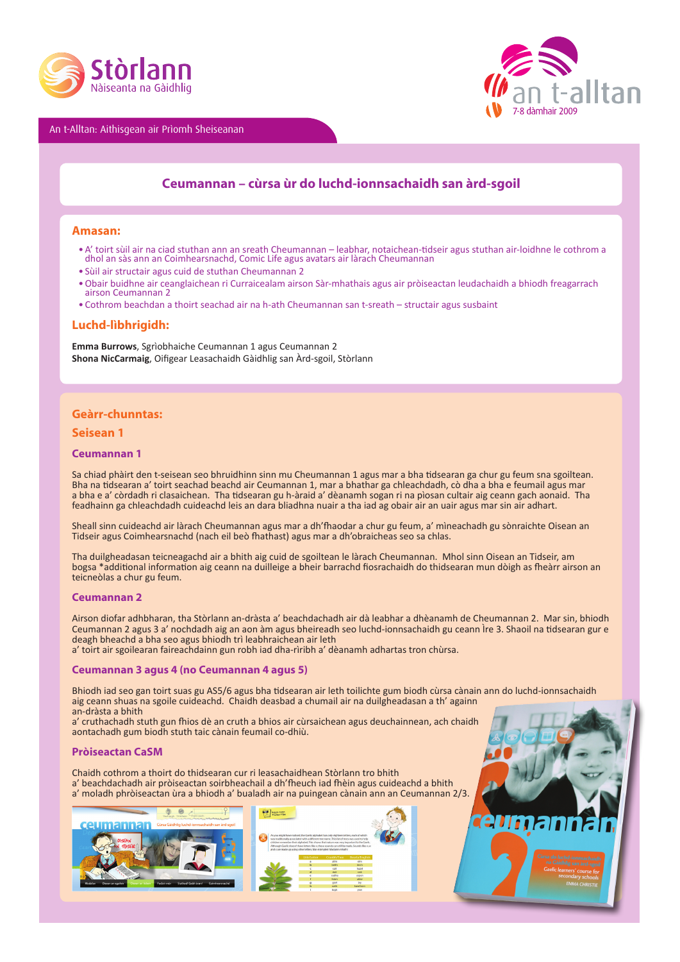





# **Ceumannan – cùrsa ùr do luchd-ionnsachaidh san àrd-sgoil**

## **Amasan:**

- A' toirt sùil air na ciad stuthan ann an sreath Cheumannan leabhar, notaichean-tidseir agus stuthan air-loidhne le cothrom a dhol an sàs ann an Coimhearsnachd, Comic Life agus avatars air làrach Cheumannan
- • Sùil air structair agus cuid de stuthan Cheumannan 2
- • Obair buidhne air ceanglaichean ri Curraicealam airson Sàr-mhathais agus air pròiseactan leudachaidh a bhiodh freagarrach airson Ceumannan 2
- • Cothrom beachdan a thoirt seachad air na h-ath Cheumannan san t-sreath structair agus susbaint

# **Luchd-lìbhrigidh:**

**Emma Burrows**, Sgrìobhaiche Ceumannan 1 agus Ceumannan 2 **Shona NicCarmaig**, Oifigear Leasachaidh Gàidhlig san Àrd-sgoil, Stòrlann

# **Geàrr-chunntas:**

# **Seisean 1**

## **Ceumannan 1**

Sa chiad phàirt den t-seisean seo bhruidhinn sinn mu Cheumannan 1 agus mar a bha tidsearan ga chur gu feum sna sgoiltean. Bha na tidsearan a' toirt seachad beachd air Ceumannan 1, mar a bhathar ga chleachdadh, cò dha a bha e feumail agus mar a bha e a' còrdadh ri clasaichean. Tha tidsearan gu h-àraid a' dèanamh sogan ri na pìosan cultair aig ceann gach aonaid. Tha feadhainn ga chleachdadh cuideachd leis an dara bliadhna nuair a tha iad ag obair air an uair agus mar sin air adhart.

Sheall sinn cuideachd air làrach Cheumannan agus mar a dh'fhaodar a chur gu feum, a' mìneachadh gu sònraichte Oisean an Tidseir agus Coimhearsnachd (nach eil beò fhathast) agus mar a dh'obraicheas seo sa chlas.

Tha duilgheadasan teicneagachd air a bhith aig cuid de sgoiltean le làrach Cheumannan. Mhol sinn Oisean an Tidseir, am bogsa \*additional information aig ceann na duilleige a bheir barrachd fiosrachaidh do thidsearan mun dòigh as fheàrr airson an teicneòlas a chur gu feum.

## **Ceumannan 2**

Airson diofar adhbharan, tha Stòrlann an-dràsta a' beachdachadh air dà leabhar a dhèanamh de Cheumannan 2. Mar sin, bhiodh Ceumannan 2 agus 3 a' nochdadh aig an aon àm agus bheireadh seo luchd-ionnsachaidh gu ceann Ìre 3. Shaoil na tidsearan gur e deagh bheachd a bha seo agus bhiodh trì leabhraichean air leth

a' toirt air sgoilearan faireachdainn gun robh iad dha-rìribh a' dèanamh adhartas tron chùrsa.

## **Ceumannan 3 agus 4 (no Ceumannan 4 agus 5)**

Bhiodh iad seo gan toirt suas gu AS5/6 agus bha tidsearan air leth toilichte gum biodh cùrsa cànain ann do luchd-ionnsachaidh aig ceann shuas na sgoile cuideachd. Chaidh deasbad a chumail air na duilgheadasan a th' againn an-dràsta a bhith

a' cruthachadh stuth gun fhios dè an cruth a bhios air cùrsaichean agus deuchainnean, ach chaidh aontachadh gum biodh stuth taic cànain feumail co-dhiù.

# **Pròiseactan CaSM**

Chaidh cothrom a thoirt do thidsearan cur ri leasachaidhean Stòrlann tro bhith a' beachdachadh air pròiseactan soirbheachail a dh'fheuch iad fhèin agus cuideachd a bhith a' moladh phròiseactan ùra a bhiodh a' bualadh air na puingean cànain ann an Ceumannan 2/3.